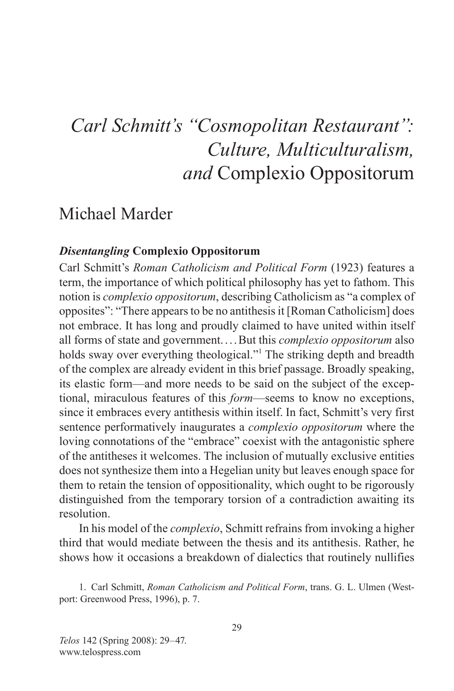# *Carl Schmitt's "Cosmopolitan Restaurant": Culture, Multiculturalism, and* Complexio Oppositorum

# Michael Marder

#### *Disentangling* **Complexio Oppositorum**

Carl Schmitt's *Roman Catholicism and Political Form* (1923) features a term, the importance of which political philosophy has yet to fathom. This notion is *complexio oppositorum*, describing Catholicism as "a complex of opposites": "There appears to be no antithesis it [Roman Catholicism] does not embrace. It has long and proudly claimed to have united within itself all forms of state and government....But this *complexio oppositorum* also holds sway over everything theological."<sup>1</sup> The striking depth and breadth of the complex are already evident in this brief passage. Broadly speaking, its elastic form—and more needs to be said on the subject of the exceptional, miraculous features of this *form*—seems to know no exceptions, since it embraces every antithesis within itself. In fact, Schmitt's very first sentence performatively inaugurates a *complexio oppositorum* where the loving connotations of the "embrace" coexist with the antagonistic sphere of the antitheses it welcomes. The inclusion of mutually exclusive entities does not synthesize them into a Hegelian unity but leaves enough space for them to retain the tension of oppositionality, which ought to be rigorously distinguished from the temporary torsion of a contradiction awaiting its resolution.

In his model of the *complexio*, Schmitt refrains from invoking a higher third that would mediate between the thesis and its antithesis. Rather, he shows how it occasions a breakdown of dialectics that routinely nullifies

<sup>.</sup> Carl Schmitt, *Roman Catholicism and Political Form*, trans. G. L. Ulmen (Westport: Greenwood Press, 1996), p. 7.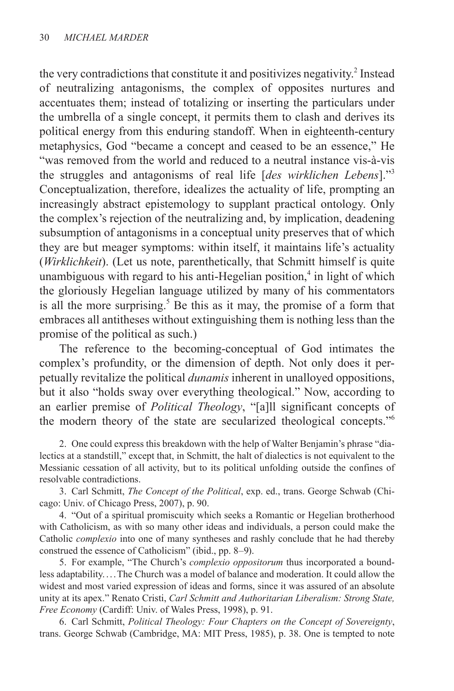the very contradictions that constitute it and positivizes negativity.<sup>2</sup> Instead of neutralizing antagonisms, the complex of opposites nurtures and accentuates them; instead of totalizing or inserting the particulars under the umbrella of a single concept, it permits them to clash and derives its political energy from this enduring standoff. When in eighteenth-century metaphysics, God "became a concept and ceased to be an essence," He "was removed from the world and reduced to a neutral instance vis-à-vis the struggles and antagonisms of real life [*des wirklichen Lebens*]." Conceptualization, therefore, idealizes the actuality of life, prompting an increasingly abstract epistemology to supplant practical ontology. Only the complex's rejection of the neutralizing and, by implication, deadening subsumption of antagonisms in a conceptual unity preserves that of which they are but meager symptoms: within itself, it maintains life's actuality (*Wirklichkeit*). (Let us note, parenthetically, that Schmitt himself is quite unambiguous with regard to his anti-Hegelian position, $4$  in light of which the gloriously Hegelian language utilized by many of his commentators is all the more surprising.<sup>5</sup> Be this as it may, the promise of a form that embraces all antitheses without extinguishing them is nothing less than the promise of the political as such.)

The reference to the becoming-conceptual of God intimates the complex's profundity, or the dimension of depth. Not only does it perpetually revitalize the political *dunamis* inherent in unalloyed oppositions, but it also "holds sway over everything theological." Now, according to an earlier premise of *Political Theology*, "[a]ll significant concepts of the modern theory of the state are secularized theological concepts."

. One could express this breakdown with the help of Walter Benjamin's phrase "dialectics at a standstill," except that, in Schmitt, the halt of dialectics is not equivalent to the Messianic cessation of all activity, but to its political unfolding outside the confines of resolvable contradictions.

. Carl Schmitt, *The Concept of the Political*, exp. ed., trans. George Schwab (Chicago: Univ. of Chicago Press, 2007), p. 90.

. "Out of a spiritual promiscuity which seeks a Romantic or Hegelian brotherhood with Catholicism, as with so many other ideas and individuals, a person could make the Catholic *complexio* into one of many syntheses and rashly conclude that he had thereby construed the essence of Catholicism" (ibid., pp. 8–9).

. For example, "The Church's *complexio oppositorum* thus incorporated a boundless adaptability....The Church was a model of balance and moderation. It could allow the widest and most varied expression of ideas and forms, since it was assured of an absolute unity at its apex." Renato Cristi, *Carl Schmitt and Authoritarian Liberalism: Strong State, Free Economy* (Cardiff: Univ. of Wales Press, 1998), p. 91.

. Carl Schmitt, *Political Theology: Four Chapters on the Concept of Sovereignty*, trans. George Schwab (Cambridge, MA: MIT Press, 1985), p. 38. One is tempted to note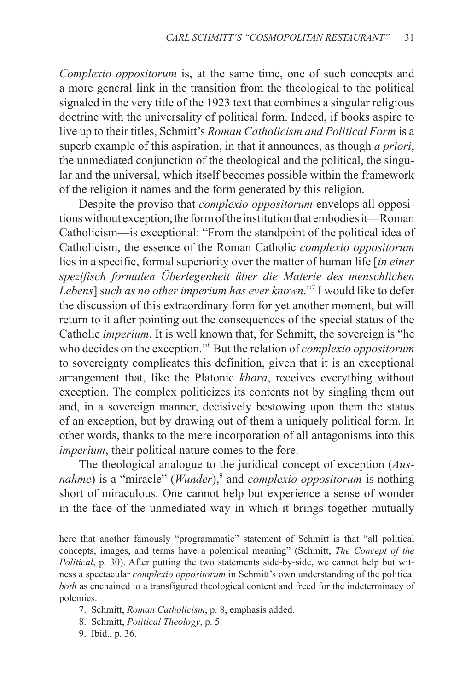*Complexio oppositorum* is, at the same time, one of such concepts and a more general link in the transition from the theological to the political signaled in the very title of the 1923 text that combines a singular religious doctrine with the universality of political form. Indeed, if books aspire to live up to their titles, Schmitt's *Roman Catholicism and Political Form* is a superb example of this aspiration, in that it announces, as though *a priori*, the unmediated conjunction of the theological and the political, the singular and the universal, which itself becomes possible within the framework of the religion it names and the form generated by this religion.

Despite the proviso that *complexio oppositorum* envelops all oppositions without exception, the form of the institution that embodies it—Roman Catholicism—is exceptional: "From the standpoint of the political idea of Catholicism, the essence of the Roman Catholic *complexio oppositorum*  lies in a specific, formal superiority over the matter of human life [*in einer spezifisch formalen Überlegenheit über die Materie des menschlichen Lebens*] s*uch as no other imperium has ever known*." I would like to defer the discussion of this extraordinary form for yet another moment, but will return to it after pointing out the consequences of the special status of the Catholic *imperium*. It is well known that, for Schmitt, the sovereign is "he who decides on the exception."<sup>8</sup> But the relation of *complexio oppositorum* to sovereignty complicates this definition, given that it is an exceptional arrangement that, like the Platonic *khora*, receives everything without exception. The complex politicizes its contents not by singling them out and, in a sovereign manner, decisively bestowing upon them the status of an exception, but by drawing out of them a uniquely political form. In other words, thanks to the mere incorporation of all antagonisms into this *imperium*, their political nature comes to the fore.

The theological analogue to the juridical concept of exception (*Ausnahme*) is a "miracle" (*Wunder*),<sup>9</sup> and *complexio oppositorum* is nothing short of miraculous. One cannot help but experience a sense of wonder in the face of the unmediated way in which it brings together mutually

here that another famously "programmatic" statement of Schmitt is that "all political concepts, images, and terms have a polemical meaning" (Schmitt, *The Concept of the Political*, p. 30). After putting the two statements side-by-side, we cannot help but witness a spectacular *complexio oppositorum* in Schmitt's own understanding of the political *both* as enchained to a transfigured theological content and freed for the indeterminacy of polemics.

- . Schmitt, *Roman Catholicism*, p. 8, emphasis added.
- . Schmitt, *Political Theology*, p. 5.
- . Ibid., p. 36.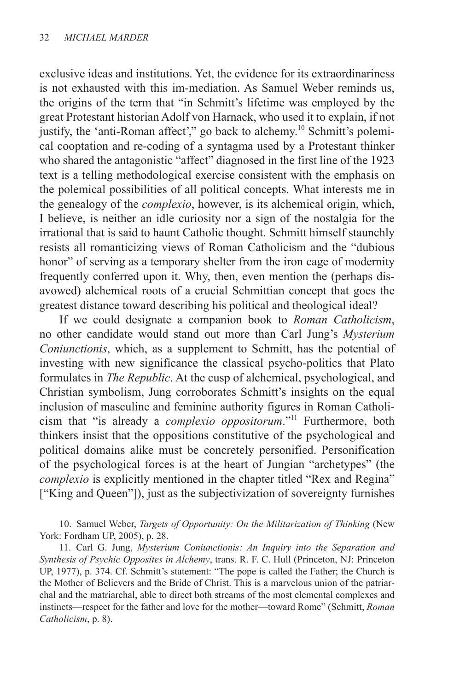exclusive ideas and institutions. Yet, the evidence for its extraordinariness is not exhausted with this im-mediation. As Samuel Weber reminds us, the origins of the term that "in Schmitt's lifetime was employed by the great Protestant historian Adolf von Harnack, who used it to explain, if not justify, the 'anti-Roman affect'," go back to alchemy.<sup>10</sup> Schmitt's polemical cooptation and re-coding of a syntagma used by a Protestant thinker who shared the antagonistic "affect" diagnosed in the first line of the 1923 text is a telling methodological exercise consistent with the emphasis on the polemical possibilities of all political concepts. What interests me in the genealogy of the *complexio*, however, is its alchemical origin, which, I believe, is neither an idle curiosity nor a sign of the nostalgia for the irrational that is said to haunt Catholic thought. Schmitt himself staunchly resists all romanticizing views of Roman Catholicism and the "dubious honor" of serving as a temporary shelter from the iron cage of modernity frequently conferred upon it. Why, then, even mention the (perhaps disavowed) alchemical roots of a crucial Schmittian concept that goes the greatest distance toward describing his political and theological ideal?

If we could designate a companion book to *Roman Catholicism*, no other candidate would stand out more than Carl Jung's *Mysterium Coniunctionis*, which, as a supplement to Schmitt, has the potential of investing with new significance the classical psycho-politics that Plato formulates in *The Republic*. At the cusp of alchemical, psychological, and Christian symbolism, Jung corroborates Schmitt's insights on the equal inclusion of masculine and feminine authority figures in Roman Catholicism that "is already a *complexio oppositorum*."11 Furthermore, both thinkers insist that the oppositions constitutive of the psychological and political domains alike must be concretely personified. Personification of the psychological forces is at the heart of Jungian "archetypes" (the *complexio* is explicitly mentioned in the chapter titled "Rex and Regina" ["King and Queen"]), just as the subjectivization of sovereignty furnishes

10. Samuel Weber, *Targets of Opportunity: On the Militarization of Thinking* (New York: Fordham UP, 2005), p. 28.

11. Carl G. Jung, *Mysterium Coniunctionis: An Inquiry into the Separation and Synthesis of Psychic Opposites in Alchemy*, trans. R. F. C. Hull (Princeton, NJ: Princeton UP, 1977), p. 374. Cf. Schmitt's statement: "The pope is called the Father; the Church is the Mother of Believers and the Bride of Christ. This is a marvelous union of the patriarchal and the matriarchal, able to direct both streams of the most elemental complexes and instincts—respect for the father and love for the mother—toward Rome" (Schmitt, *Roman Catholicism*, p. 8).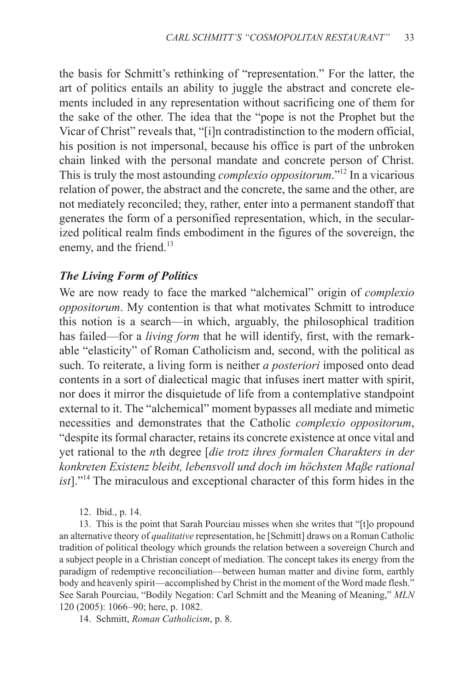the basis for Schmitt's rethinking of "representation." For the latter, the art of politics entails an ability to juggle the abstract and concrete elements included in any representation without sacrificing one of them for the sake of the other. The idea that the "pope is not the Prophet but the Vicar of Christ" reveals that, "[i]n contradistinction to the modern official, his position is not impersonal, because his office is part of the unbroken chain linked with the personal mandate and concrete person of Christ. This is truly the most astounding *complexio oppositorum*."12 In a vicarious relation of power, the abstract and the concrete, the same and the other, are not mediately reconciled; they, rather, enter into a permanent standoff that generates the form of a personified representation, which, in the secularized political realm finds embodiment in the figures of the sovereign, the enemy, and the friend. $13$ 

#### *The Living Form of Politics*

We are now ready to face the marked "alchemical" origin of *complexio oppositorum*. My contention is that what motivates Schmitt to introduce this notion is a search—in which, arguably, the philosophical tradition has failed—for a *living form* that he will identify, first, with the remarkable "elasticity" of Roman Catholicism and, second, with the political as such. To reiterate, a living form is neither *a posteriori* imposed onto dead contents in a sort of dialectical magic that infuses inert matter with spirit, nor does it mirror the disquietude of life from a contemplative standpoint external to it. The "alchemical" moment bypasses all mediate and mimetic necessities and demonstrates that the Catholic *complexio oppositorum*, "despite its formal character, retains its concrete existence at once vital and yet rational to the *n*th degree [*die trotz ihres formalen Charakters in der konkreten Existenz bleibt, lebensvoll und doch im höchsten Maße rational ist*]."14 The miraculous and exceptional character of this form hides in the

12. Ibid., p. 14.

13. This is the point that Sarah Pourciau misses when she writes that "[t]o propound an alternative theory of *qualitative* representation, he [Schmitt] draws on a Roman Catholic tradition of political theology which grounds the relation between a sovereign Church and a subject people in a Christian concept of mediation. The concept takes its energy from the paradigm of redemptive reconciliation—between human matter and divine form, earthly body and heavenly spirit—accomplished by Christ in the moment of the Word made flesh." See Sarah Pourciau, "Bodily Negation: Carl Schmitt and the Meaning of Meaning," *MLN* 120 (2005): 1066–90; here, p. 1082.

14. Schmitt, *Roman Catholicism*, p. 8.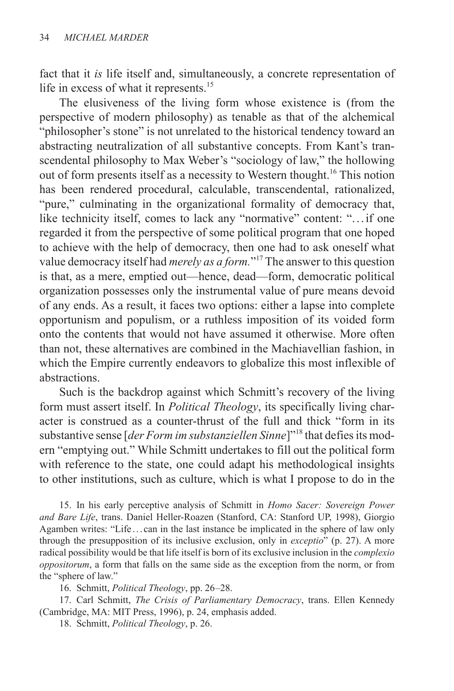fact that it *is* life itself and, simultaneously, a concrete representation of life in excess of what it represents.<sup>15</sup>

The elusiveness of the living form whose existence is (from the perspective of modern philosophy) as tenable as that of the alchemical "philosopher's stone" is not unrelated to the historical tendency toward an abstracting neutralization of all substantive concepts. From Kant's transcendental philosophy to Max Weber's "sociology of law," the hollowing out of form presents itself as a necessity to Western thought.<sup>16</sup> This notion has been rendered procedural, calculable, transcendental, rationalized, "pure," culminating in the organizational formality of democracy that, like technicity itself, comes to lack any "normative" content: "...if one regarded it from the perspective of some political program that one hoped to achieve with the help of democracy, then one had to ask oneself what value democracy itself had *merely as a form.*"17 The answer to this question is that, as a mere, emptied out—hence, dead—form, democratic political organization possesses only the instrumental value of pure means devoid of any ends. As a result, it faces two options: either a lapse into complete opportunism and populism, or a ruthless imposition of its voided form onto the contents that would not have assumed it otherwise. More often than not, these alternatives are combined in the Machiavellian fashion, in which the Empire currently endeavors to globalize this most inflexible of abstractions.

Such is the backdrop against which Schmitt's recovery of the living form must assert itself. In *Political Theology*, its specifically living character is construed as a counter-thrust of the full and thick "form in its substantive sense [*der Form im substanziellen Sinne*]"18 that defies its modern "emptying out." While Schmitt undertakes to fill out the political form with reference to the state, one could adapt his methodological insights to other institutions, such as culture, which is what I propose to do in the

15. In his early perceptive analysis of Schmitt in *Homo Sacer: Sovereign Power and Bare Life*, trans. Daniel Heller-Roazen (Stanford, CA: Stanford UP, 1998), Giorgio Agamben writes: "Life . . . can in the last instance be implicated in the sphere of law only through the presupposition of its inclusive exclusion, only in *exceptio*" (p. 27). A more radical possibility would be that life itself is born of its exclusive inclusion in the *complexio oppositorum*, a form that falls on the same side as the exception from the norm, or from the "sphere of law."

16. Schmitt, *Political Theology*, pp. 26–28.

17. Carl Schmitt, *The Crisis of Parliamentary Democracy*, trans. Ellen Kennedy (Cambridge, MA: MIT Press, 1996), p. 24, emphasis added.

18. Schmitt, *Political Theology*, p. 26.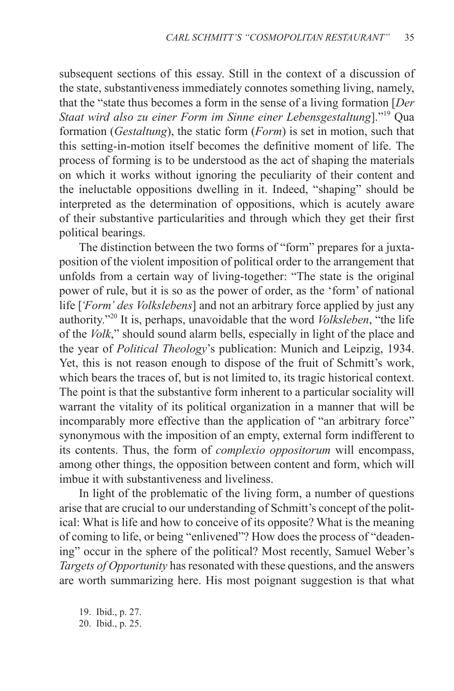subsequent sections of this essay. Still in the context of a discussion of the state, substantiveness immediately connotes something living, namely, that the "state thus becomes a form in the sense of a living formation [*Der Staat wird also zu einer Form im Sinne einer Lebensgestaltung*]."19 Qua formation (*Gestaltung*), the static form (*Form*) is set in motion, such that this setting-in-motion itself becomes the definitive moment of life. The process of forming is to be understood as the act of shaping the materials on which it works without ignoring the peculiarity of their content and the ineluctable oppositions dwelling in it. Indeed, "shaping" should be interpreted as the determination of oppositions, which is acutely aware of their substantive particularities and through which they get their first political bearings.

The distinction between the two forms of "form" prepares for a juxtaposition of the violent imposition of political order to the arrangement that unfolds from a certain way of living-together: "The state is the original power of rule, but it is so as the power of order, as the 'form' of national life [*'Form' des Volkslebens*] and not an arbitrary force applied by just any authority."20 It is, perhaps, unavoidable that the word *Volksleben*, "the life of the *Volk*," should sound alarm bells, especially in light of the place and the year of *Political Theology*'s publication: Munich and Leipzig, 1934. Yet, this is not reason enough to dispose of the fruit of Schmitt's work, which bears the traces of, but is not limited to, its tragic historical context. The point is that the substantive form inherent to a particular sociality will warrant the vitality of its political organization in a manner that will be incomparably more effective than the application of "an arbitrary force" synonymous with the imposition of an empty, external form indifferent to its contents. Thus, the form of *complexio oppositorum* will encompass, among other things, the opposition between content and form, which will imbue it with substantiveness and liveliness.

In light of the problematic of the living form, a number of questions arise that are crucial to our understanding of Schmitt's concept of the political: What is life and how to conceive of its opposite? What is the meaning of coming to life, or being "enlivened"? How does the process of "deadening" occur in the sphere of the political? Most recently, Samuel Weber's *Targets of Opportunity* has resonated with these questions, and the answers are worth summarizing here. His most poignant suggestion is that what

19. Ibid., p. 27. 20. Ibid., p. 25.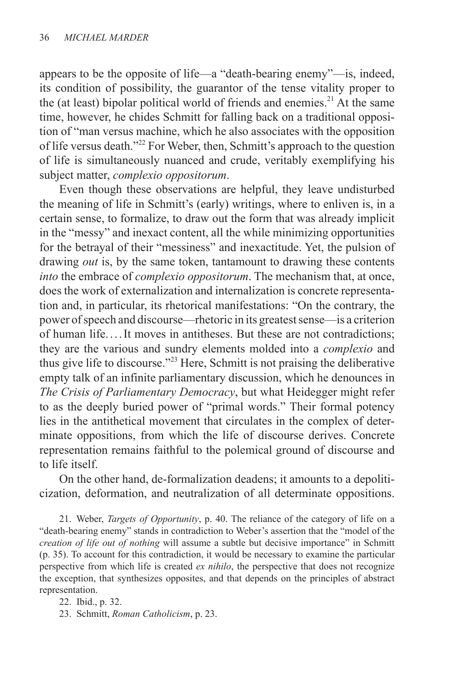appears to be the opposite of life—a "death-bearing enemy"—is, indeed, its condition of possibility, the guarantor of the tense vitality proper to the (at least) bipolar political world of friends and enemies.<sup>21</sup> At the same time, however, he chides Schmitt for falling back on a traditional opposition of "man versus machine, which he also associates with the opposition of life versus death."22 For Weber, then, Schmitt's approach to the question of life is simultaneously nuanced and crude, veritably exemplifying his subject matter, *complexio oppositorum*.

Even though these observations are helpful, they leave undisturbed the meaning of life in Schmitt's (early) writings, where to enliven is, in a certain sense, to formalize, to draw out the form that was already implicit in the "messy" and inexact content, all the while minimizing opportunities for the betrayal of their "messiness" and inexactitude. Yet, the pulsion of drawing *out* is, by the same token, tantamount to drawing these contents *into* the embrace of *complexio oppositorum*. The mechanism that, at once, does the work of externalization and internalization is concrete representation and, in particular, its rhetorical manifestations: "On the contrary, the power of speech and discourse—rhetoric in its greatest sense—is a criterion of human life....It moves in antitheses. But these are not contradictions; they are the various and sundry elements molded into a *complexio* and thus give life to discourse."23 Here, Schmitt is not praising the deliberative empty talk of an infinite parliamentary discussion, which he denounces in *The Crisis of Parliamentary Democracy*, but what Heidegger might refer to as the deeply buried power of "primal words." Their formal potency lies in the antithetical movement that circulates in the complex of determinate oppositions, from which the life of discourse derives. Concrete representation remains faithful to the polemical ground of discourse and to life itself.

On the other hand, de-formalization deadens; it amounts to a depoliticization, deformation, and neutralization of all determinate oppositions.

21. Weber, *Targets of Opportunity*, p. 40. The reliance of the category of life on a "death-bearing enemy" stands in contradiction to Weber's assertion that the "model of the *creation of life out of nothing* will assume a subtle but decisive importance" in Schmitt (p. 35). To account for this contradiction, it would be necessary to examine the particular perspective from which life is created *ex nihilo*, the perspective that does not recognize the exception, that synthesizes opposites, and that depends on the principles of abstract representation.

22. Ibid., p. 32.

23. Schmitt, *Roman Catholicism*, p. 23.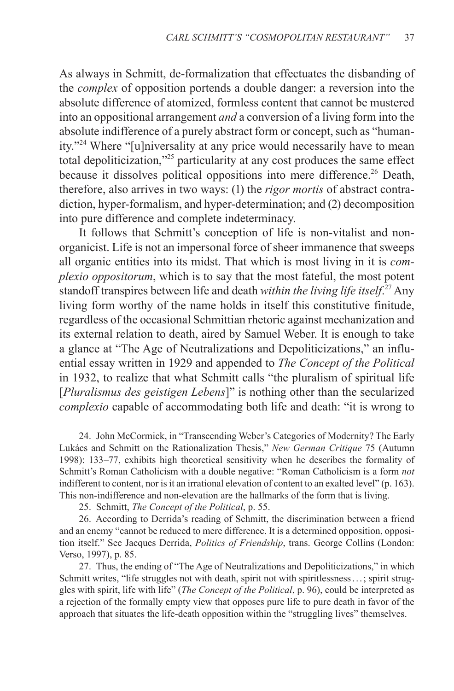As always in Schmitt, de-formalization that effectuates the disbanding of the *complex* of opposition portends a double danger: a reversion into the absolute difference of atomized, formless content that cannot be mustered into an oppositional arrangement *and* a conversion of a living form into the absolute indifference of a purely abstract form or concept, such as "humanity."24 Where "[u]niversality at any price would necessarily have to mean total depoliticization,"<sup>25</sup> particularity at any cost produces the same effect because it dissolves political oppositions into mere difference.<sup>26</sup> Death, therefore, also arrives in two ways: (1) the *rigor mortis* of abstract contradiction, hyper-formalism, and hyper-determination; and (2) decomposition into pure difference and complete indeterminacy.

It follows that Schmitt's conception of life is non-vitalist and nonorganicist. Life is not an impersonal force of sheer immanence that sweeps all organic entities into its midst. That which is most living in it is *complexio oppositorum*, which is to say that the most fateful, the most potent standoff transpires between life and death *within the living life itself*. 27 Any living form worthy of the name holds in itself this constitutive finitude, regardless of the occasional Schmittian rhetoric against mechanization and its external relation to death, aired by Samuel Weber. It is enough to take a glance at "The Age of Neutralizations and Depoliticizations," an influential essay written in 1929 and appended to *The Concept of the Political*  in 1932, to realize that what Schmitt calls "the pluralism of spiritual life [*Pluralismus des geistigen Lebens*]" is nothing other than the secularized *complexio* capable of accommodating both life and death: "it is wrong to

24. John McCormick, in "Transcending Weber's Categories of Modernity? The Early Lukács and Schmitt on the Rationalization Thesis," *New German Critique* 75 (Autumn 1998): 133–77, exhibits high theoretical sensitivity when he describes the formality of Schmitt's Roman Catholicism with a double negative: "Roman Catholicism is a form *not*  indifferent to content, nor is it an irrational elevation of content to an exalted level" (p. 163). This non-indifference and non-elevation are the hallmarks of the form that is living.

25. Schmitt, *The Concept of the Political*, p. 55.

26. According to Derrida's reading of Schmitt, the discrimination between a friend and an enemy "cannot be reduced to mere difference. It is a determined opposition, opposition itself." See Jacques Derrida, *Politics of Friendship*, trans. George Collins (London: Verso, 1997), p. 85.

27. Thus, the ending of "The Age of Neutralizations and Depoliticizations," in which Schmitt writes, "life struggles not with death, spirit not with spiritlessness...; spirit struggles with spirit, life with life" (*The Concept of the Political*, p. 96), could be interpreted as a rejection of the formally empty view that opposes pure life to pure death in favor of the approach that situates the life-death opposition within the "struggling lives" themselves.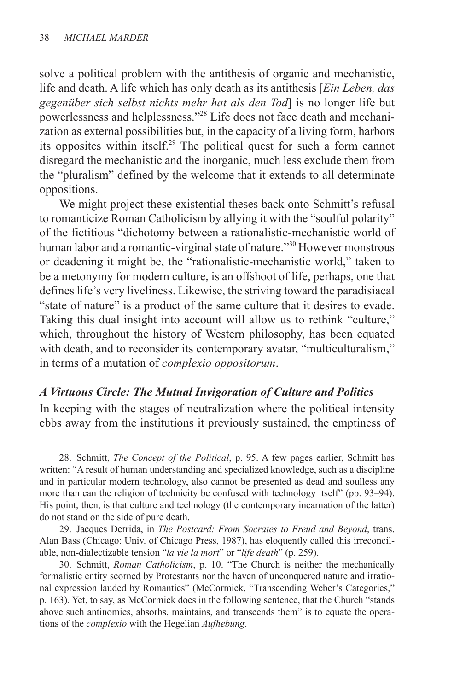solve a political problem with the antithesis of organic and mechanistic, life and death. A life which has only death as its antithesis [*Ein Leben, das gegenüber sich selbst nichts mehr hat als den Tod*] is no longer life but powerlessness and helplessness."28 Life does not face death and mechanization as external possibilities but, in the capacity of a living form, harbors its opposites within itself.<sup>29</sup> The political quest for such a form cannot disregard the mechanistic and the inorganic, much less exclude them from the "pluralism" defined by the welcome that it extends to all determinate oppositions.

We might project these existential theses back onto Schmitt's refusal to romanticize Roman Catholicism by allying it with the "soulful polarity" of the fictitious "dichotomy between a rationalistic-mechanistic world of human labor and a romantic-virginal state of nature."<sup>30</sup> However monstrous or deadening it might be, the "rationalistic-mechanistic world," taken to be a metonymy for modern culture, is an offshoot of life, perhaps, one that defines life's very liveliness. Likewise, the striving toward the paradisiacal "state of nature" is a product of the same culture that it desires to evade. Taking this dual insight into account will allow us to rethink "culture," which, throughout the history of Western philosophy, has been equated with death, and to reconsider its contemporary avatar, "multiculturalism," in terms of a mutation of *complexio oppositorum*.

#### *A Virtuous Circle: The Mutual Invigoration of Culture and Politics*

In keeping with the stages of neutralization where the political intensity ebbs away from the institutions it previously sustained, the emptiness of

28. Schmitt, *The Concept of the Political*, p. 95. A few pages earlier, Schmitt has written: "A result of human understanding and specialized knowledge, such as a discipline and in particular modern technology, also cannot be presented as dead and soulless any more than can the religion of technicity be confused with technology itself" (pp. 93–94). His point, then, is that culture and technology (the contemporary incarnation of the latter) do not stand on the side of pure death.

29. Jacques Derrida, in *The Postcard: From Socrates to Freud and Beyond*, trans. Alan Bass (Chicago: Univ. of Chicago Press, 1987), has eloquently called this irreconcilable, non-dialectizable tension "*la vie la mort*" or "*life death*" (p. 259).

30. Schmitt, *Roman Catholicism*, p. 10. "The Church is neither the mechanically formalistic entity scorned by Protestants nor the haven of unconquered nature and irrational expression lauded by Romantics" (McCormick, "Transcending Weber's Categories," p. 163). Yet, to say, as McCormick does in the following sentence, that the Church "stands above such antinomies, absorbs, maintains, and transcends them" is to equate the operations of the *complexio* with the Hegelian *Aufhebung*.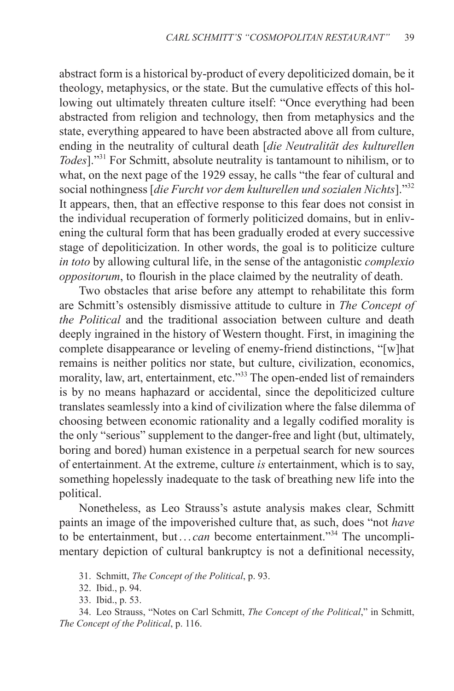abstract form is a historical by-product of every depoliticized domain, be it theology, metaphysics, or the state. But the cumulative effects of this hollowing out ultimately threaten culture itself: "Once everything had been abstracted from religion and technology, then from metaphysics and the state, everything appeared to have been abstracted above all from culture, ending in the neutrality of cultural death [*die Neutralität des kulturellen Todes*]."31 For Schmitt, absolute neutrality is tantamount to nihilism, or to what, on the next page of the 1929 essay, he calls "the fear of cultural and social nothingness [*die Furcht vor dem kulturellen und sozialen Nichts*]."32 It appears, then, that an effective response to this fear does not consist in the individual recuperation of formerly politicized domains, but in enlivening the cultural form that has been gradually eroded at every successive stage of depoliticization. In other words, the goal is to politicize culture *in toto* by allowing cultural life, in the sense of the antagonistic *complexio oppositorum*, to flourish in the place claimed by the neutrality of death.

Two obstacles that arise before any attempt to rehabilitate this form are Schmitt's ostensibly dismissive attitude to culture in *The Concept of the Political* and the traditional association between culture and death deeply ingrained in the history of Western thought. First, in imagining the complete disappearance or leveling of enemy-friend distinctions, "[w]hat remains is neither politics nor state, but culture, civilization, economics, morality, law, art, entertainment, etc."<sup>33</sup> The open-ended list of remainders is by no means haphazard or accidental, since the depoliticized culture translates seamlessly into a kind of civilization where the false dilemma of choosing between economic rationality and a legally codified morality is the only "serious" supplement to the danger-free and light (but, ultimately, boring and bored) human existence in a perpetual search for new sources of entertainment. At the extreme, culture *is* entertainment, which is to say, something hopelessly inadequate to the task of breathing new life into the political.

Nonetheless, as Leo Strauss's astute analysis makes clear, Schmitt paints an image of the impoverished culture that, as such, does "not *have*  to be entertainment, but... *can* become entertainment."34 The uncomplimentary depiction of cultural bankruptcy is not a definitional necessity,

33. Ibid., p. 53.

34. Leo Strauss, "Notes on Carl Schmitt, *The Concept of the Political*," in Schmitt, *The Concept of the Political*, p. 116.

<sup>31.</sup> Schmitt, *The Concept of the Political*, p. 93.

<sup>32.</sup> Ibid., p. 94.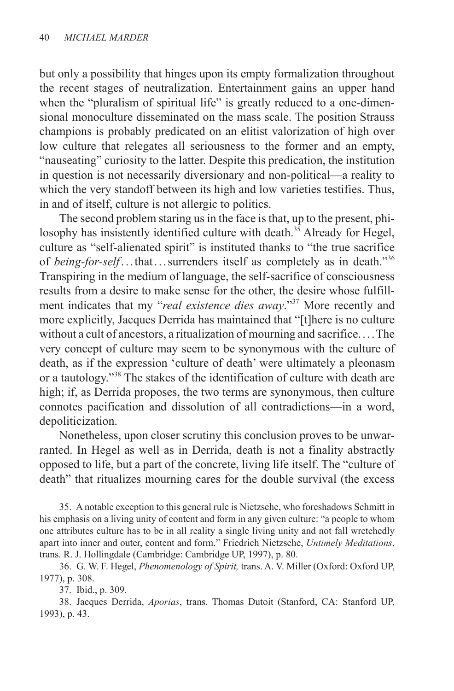but only a possibility that hinges upon its empty formalization throughout the recent stages of neutralization. Entertainment gains an upper hand when the "pluralism of spiritual life" is greatly reduced to a one-dimensional monoculture disseminated on the mass scale. The position Strauss champions is probably predicated on an elitist valorization of high over low culture that relegates all seriousness to the former and an empty, "nauseating" curiosity to the latter. Despite this predication, the institution in question is not necessarily diversionary and non-political—a reality to which the very standoff between its high and low varieties testifies. Thus, in and of itself, culture is not allergic to politics.

The second problem staring us in the face is that, up to the present, philosophy has insistently identified culture with death.<sup>35</sup> Already for Hegel, culture as "self-alienated spirit" is instituted thanks to "the true sacrifice of *being-for-self*...that...surrenders itself as completely as in death."<sup>36</sup> Transpiring in the medium of language, the self-sacrifice of consciousness results from a desire to make sense for the other, the desire whose fulfillment indicates that my "*real existence dies away*."37 More recently and more explicitly, Jacques Derrida has maintained that "[t]here is no culture without a cult of ancestors, a ritualization of mourning and sacrifice.. . .The very concept of culture may seem to be synonymous with the culture of death, as if the expression 'culture of death' were ultimately a pleonasm or a tautology."38 The stakes of the identification of culture with death are high; if, as Derrida proposes, the two terms are synonymous, then culture connotes pacification and dissolution of all contradictions—in a word, depoliticization.

Nonetheless, upon closer scrutiny this conclusion proves to be unwarranted. In Hegel as well as in Derrida, death is not a finality abstractly opposed to life, but a part of the concrete, living life itself. The "culture of death" that ritualizes mourning cares for the double survival (the excess

35. A notable exception to this general rule is Nietzsche, who foreshadows Schmitt in his emphasis on a living unity of content and form in any given culture: "a people to whom one attributes culture has to be in all reality a single living unity and not fall wretchedly apart into inner and outer, content and form." Friedrich Nietzsche, *Untimely Meditations*, trans. R. J. Hollingdale (Cambridge: Cambridge UP, 1997), p. 80.

36. G. W. F. Hegel, *Phenomenology of Spirit,* trans. A. V. Miller (Oxford: Oxford UP, 1977), p. 308.

37. Ibid., p. 309.

38. Jacques Derrida, *Aporias*, trans. Thomas Dutoit (Stanford, CA: Stanford UP, 1993), p. 43.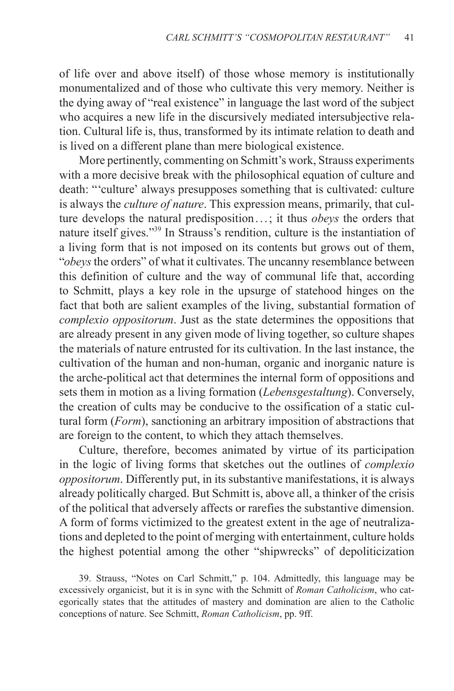of life over and above itself) of those whose memory is institutionally monumentalized and of those who cultivate this very memory. Neither is the dying away of "real existence" in language the last word of the subject who acquires a new life in the discursively mediated intersubjective relation. Cultural life is, thus, transformed by its intimate relation to death and is lived on a different plane than mere biological existence.

More pertinently, commenting on Schmitt's work, Strauss experiments with a more decisive break with the philosophical equation of culture and death: "'culture' always presupposes something that is cultivated: culture is always the *culture of nature*. This expression means, primarily, that culture develops the natural predisposition...; it thus *obeys* the orders that nature itself gives."39 In Strauss's rendition, culture is the instantiation of a living form that is not imposed on its contents but grows out of them, "*obeys* the orders" of what it cultivates. The uncanny resemblance between this definition of culture and the way of communal life that, according to Schmitt, plays a key role in the upsurge of statehood hinges on the fact that both are salient examples of the living, substantial formation of *complexio oppositorum*. Just as the state determines the oppositions that are already present in any given mode of living together, so culture shapes the materials of nature entrusted for its cultivation. In the last instance, the cultivation of the human and non-human, organic and inorganic nature is the arche-political act that determines the internal form of oppositions and sets them in motion as a living formation (*Lebensgestaltung*). Conversely, the creation of cults may be conducive to the ossification of a static cultural form (*Form*), sanctioning an arbitrary imposition of abstractions that are foreign to the content, to which they attach themselves.

Culture, therefore, becomes animated by virtue of its participation in the logic of living forms that sketches out the outlines of *complexio oppositorum*. Differently put, in its substantive manifestations, it is always already politically charged. But Schmitt is, above all, a thinker of the crisis of the political that adversely affects or rarefies the substantive dimension. A form of forms victimized to the greatest extent in the age of neutralizations and depleted to the point of merging with entertainment, culture holds the highest potential among the other "shipwrecks" of depoliticization

39. Strauss, "Notes on Carl Schmitt," p. 104. Admittedly, this language may be excessively organicist, but it is in sync with the Schmitt of *Roman Catholicism*, who categorically states that the attitudes of mastery and domination are alien to the Catholic conceptions of nature. See Schmitt, *Roman Catholicism*, pp. 9ff.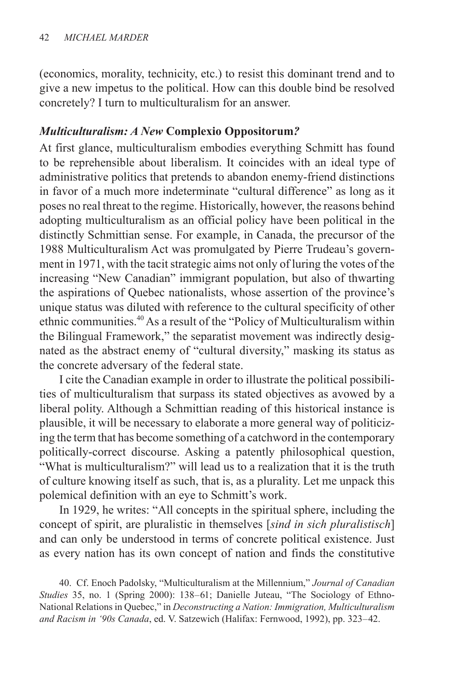(economics, morality, technicity, etc.) to resist this dominant trend and to give a new impetus to the political. How can this double bind be resolved concretely? I turn to multiculturalism for an answer.

## *Multiculturalism: A New* **Complexio Oppositorum***?*

At first glance, multiculturalism embodies everything Schmitt has found to be reprehensible about liberalism. It coincides with an ideal type of administrative politics that pretends to abandon enemy-friend distinctions in favor of a much more indeterminate "cultural difference" as long as it poses no real threat to the regime. Historically, however, the reasons behind adopting multiculturalism as an official policy have been political in the distinctly Schmittian sense. For example, in Canada, the precursor of the 1988 Multiculturalism Act was promulgated by Pierre Trudeau's government in 1971, with the tacit strategic aims not only of luring the votes of the increasing "New Canadian" immigrant population, but also of thwarting the aspirations of Quebec nationalists, whose assertion of the province's unique status was diluted with reference to the cultural specificity of other ethnic communities.40 As a result of the "Policy of Multiculturalism within the Bilingual Framework," the separatist movement was indirectly designated as the abstract enemy of "cultural diversity," masking its status as the concrete adversary of the federal state.

I cite the Canadian example in order to illustrate the political possibilities of multiculturalism that surpass its stated objectives as avowed by a liberal polity. Although a Schmittian reading of this historical instance is plausible, it will be necessary to elaborate a more general way of politicizing the term that has become something of a catchword in the contemporary politically-correct discourse. Asking a patently philosophical question, "What is multiculturalism?" will lead us to a realization that it is the truth of culture knowing itself as such, that is, as a plurality. Let me unpack this polemical definition with an eye to Schmitt's work.

In 1929, he writes: "All concepts in the spiritual sphere, including the concept of spirit, are pluralistic in themselves [*sind in sich pluralistisch*] and can only be understood in terms of concrete political existence. Just as every nation has its own concept of nation and finds the constitutive

40. Cf. Enoch Padolsky, "Multiculturalism at the Millennium," *Journal of Canadian Studies* 35, no. 1 (Spring 2000): 138–61; Danielle Juteau, "The Sociology of Ethno-National Relations in Quebec," in *Deconstructing a Nation: Immigration, Multiculturalism and Racism in '90s Canada*, ed. V. Satzewich (Halifax: Fernwood, 1992), pp. 323–42.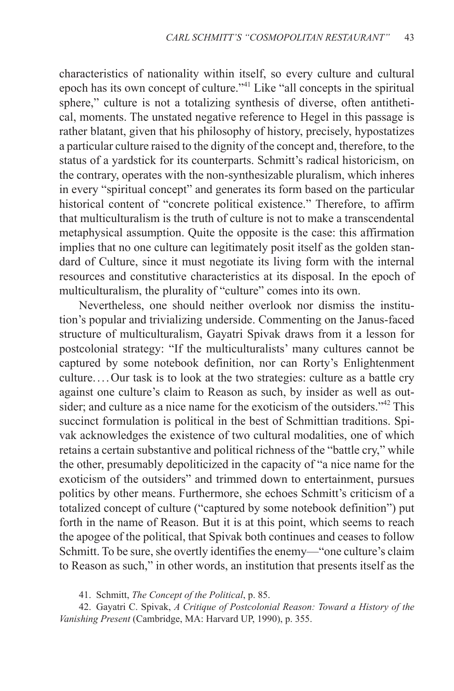characteristics of nationality within itself, so every culture and cultural epoch has its own concept of culture."41 Like "all concepts in the spiritual sphere," culture is not a totalizing synthesis of diverse, often antithetical, moments. The unstated negative reference to Hegel in this passage is rather blatant, given that his philosophy of history, precisely, hypostatizes a particular culture raised to the dignity of the concept and, therefore, to the status of a yardstick for its counterparts. Schmitt's radical historicism, on the contrary, operates with the non-synthesizable pluralism, which inheres in every "spiritual concept" and generates its form based on the particular historical content of "concrete political existence." Therefore, to affirm that multiculturalism is the truth of culture is not to make a transcendental metaphysical assumption. Quite the opposite is the case: this affirmation implies that no one culture can legitimately posit itself as the golden standard of Culture, since it must negotiate its living form with the internal resources and constitutive characteristics at its disposal. In the epoch of multiculturalism, the plurality of "culture" comes into its own.

Nevertheless, one should neither overlook nor dismiss the institution's popular and trivializing underside. Commenting on the Janus-faced structure of multiculturalism, Gayatri Spivak draws from it a lesson for postcolonial strategy: "If the multiculturalists' many cultures cannot be captured by some notebook definition, nor can Rorty's Enlightenment culture.. . .Our task is to look at the two strategies: culture as a battle cry against one culture's claim to Reason as such, by insider as well as outsider; and culture as a nice name for the exoticism of the outsiders."<sup>42</sup> This succinct formulation is political in the best of Schmittian traditions. Spivak acknowledges the existence of two cultural modalities, one of which retains a certain substantive and political richness of the "battle cry," while the other, presumably depoliticized in the capacity of "a nice name for the exoticism of the outsiders" and trimmed down to entertainment, pursues politics by other means. Furthermore, she echoes Schmitt's criticism of a totalized concept of culture ("captured by some notebook definition") put forth in the name of Reason. But it is at this point, which seems to reach the apogee of the political, that Spivak both continues and ceases to follow Schmitt. To be sure, she overtly identifies the enemy—"one culture's claim to Reason as such," in other words, an institution that presents itself as the

41. Schmitt, *The Concept of the Political*, p. 85.

42. Gayatri C. Spivak, *A Critique of Postcolonial Reason: Toward a History of the Vanishing Present* (Cambridge, MA: Harvard UP, 1990), p. 355.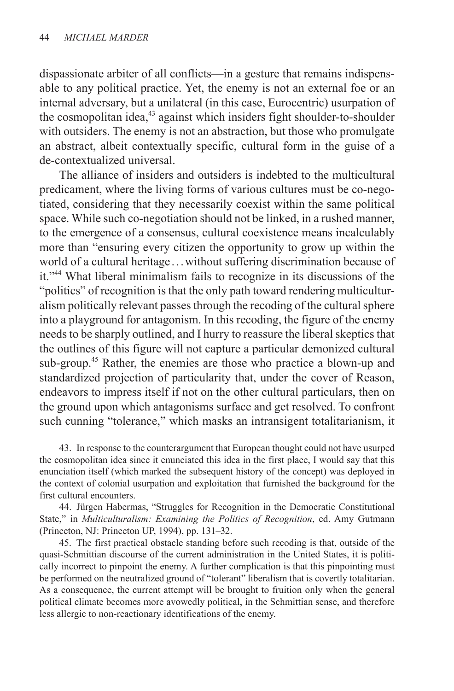dispassionate arbiter of all conflicts—in a gesture that remains indispensable to any political practice. Yet, the enemy is not an external foe or an internal adversary, but a unilateral (in this case, Eurocentric) usurpation of the cosmopolitan idea,<sup>43</sup> against which insiders fight shoulder-to-shoulder with outsiders. The enemy is not an abstraction, but those who promulgate an abstract, albeit contextually specific, cultural form in the guise of a de-contextualized universal.

The alliance of insiders and outsiders is indebted to the multicultural predicament, where the living forms of various cultures must be co-negotiated, considering that they necessarily coexist within the same political space. While such co-negotiation should not be linked, in a rushed manner, to the emergence of a consensus, cultural coexistence means incalculably more than "ensuring every citizen the opportunity to grow up within the world of a cultural heritage ...without suffering discrimination because of it."44 What liberal minimalism fails to recognize in its discussions of the "politics" of recognition is that the only path toward rendering multiculturalism politically relevant passes through the recoding of the cultural sphere into a playground for antagonism. In this recoding, the figure of the enemy needs to be sharply outlined, and I hurry to reassure the liberal skeptics that the outlines of this figure will not capture a particular demonized cultural sub-group.<sup>45</sup> Rather, the enemies are those who practice a blown-up and standardized projection of particularity that, under the cover of Reason, endeavors to impress itself if not on the other cultural particulars, then on the ground upon which antagonisms surface and get resolved. To confront such cunning "tolerance," which masks an intransigent totalitarianism, it

43. In response to the counterargument that European thought could not have usurped the cosmopolitan idea since it enunciated this idea in the first place, I would say that this enunciation itself (which marked the subsequent history of the concept) was deployed in the context of colonial usurpation and exploitation that furnished the background for the first cultural encounters.

44. Jürgen Habermas, "Struggles for Recognition in the Democratic Constitutional State," in *Multiculturalism: Examining the Politics of Recognition*, ed. Amy Gutmann (Princeton, NJ: Princeton UP, 1994), pp. 131–32.

45. The first practical obstacle standing before such recoding is that, outside of the quasi-Schmittian discourse of the current administration in the United States, it is politically incorrect to pinpoint the enemy. A further complication is that this pinpointing must be performed on the neutralized ground of "tolerant" liberalism that is covertly totalitarian. As a consequence, the current attempt will be brought to fruition only when the general political climate becomes more avowedly political, in the Schmittian sense, and therefore less allergic to non-reactionary identifications of the enemy.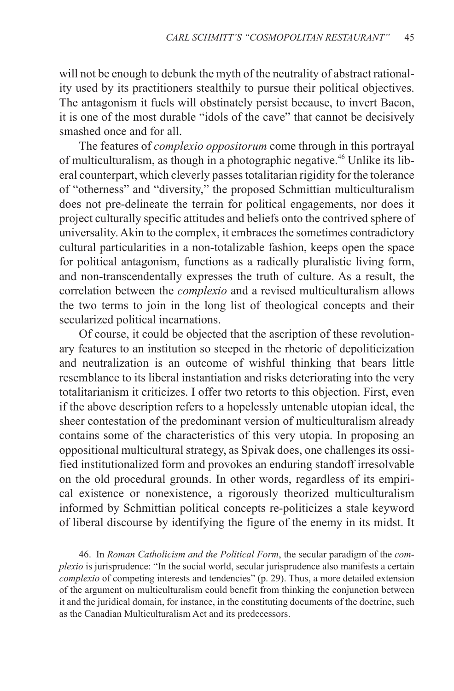will not be enough to debunk the myth of the neutrality of abstract rationality used by its practitioners stealthily to pursue their political objectives. The antagonism it fuels will obstinately persist because, to invert Bacon, it is one of the most durable "idols of the cave" that cannot be decisively smashed once and for all.

The features of *complexio oppositorum* come through in this portrayal of multiculturalism, as though in a photographic negative.<sup>46</sup> Unlike its liberal counterpart, which cleverly passes totalitarian rigidity for the tolerance of "otherness" and "diversity," the proposed Schmittian multiculturalism does not pre-delineate the terrain for political engagements, nor does it project culturally specific attitudes and beliefs onto the contrived sphere of universality. Akin to the complex, it embraces the sometimes contradictory cultural particularities in a non-totalizable fashion, keeps open the space for political antagonism, functions as a radically pluralistic living form, and non-transcendentally expresses the truth of culture. As a result, the correlation between the *complexio* and a revised multiculturalism allows the two terms to join in the long list of theological concepts and their secularized political incarnations.

Of course, it could be objected that the ascription of these revolutionary features to an institution so steeped in the rhetoric of depoliticization and neutralization is an outcome of wishful thinking that bears little resemblance to its liberal instantiation and risks deteriorating into the very totalitarianism it criticizes. I offer two retorts to this objection. First, even if the above description refers to a hopelessly untenable utopian ideal, the sheer contestation of the predominant version of multiculturalism already contains some of the characteristics of this very utopia. In proposing an oppositional multicultural strategy, as Spivak does, one challenges its ossified institutionalized form and provokes an enduring standoff irresolvable on the old procedural grounds. In other words, regardless of its empirical existence or nonexistence, a rigorously theorized multiculturalism informed by Schmittian political concepts re-politicizes a stale keyword of liberal discourse by identifying the figure of the enemy in its midst. It

46. In *Roman Catholicism and the Political Form*, the secular paradigm of the *complexio* is jurisprudence: "In the social world, secular jurisprudence also manifests a certain *complexio* of competing interests and tendencies" (p. 29). Thus, a more detailed extension of the argument on multiculturalism could benefit from thinking the conjunction between it and the juridical domain, for instance, in the constituting documents of the doctrine, such as the Canadian Multiculturalism Act and its predecessors.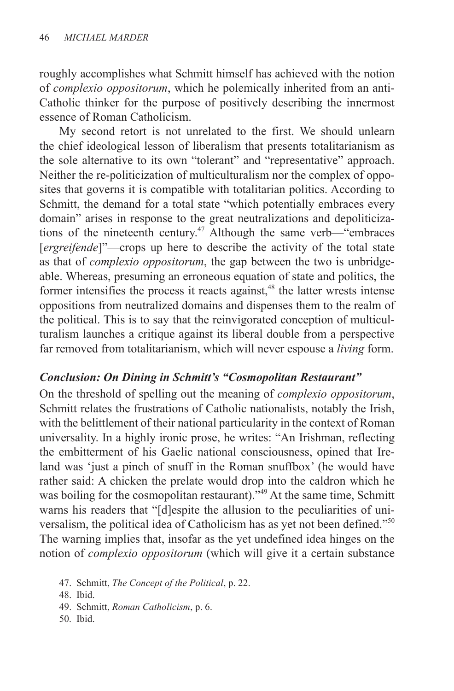roughly accomplishes what Schmitt himself has achieved with the notion of *complexio oppositorum*, which he polemically inherited from an anti-Catholic thinker for the purpose of positively describing the innermost essence of Roman Catholicism.

My second retort is not unrelated to the first. We should unlearn the chief ideological lesson of liberalism that presents totalitarianism as the sole alternative to its own "tolerant" and "representative" approach. Neither the re-politicization of multiculturalism nor the complex of opposites that governs it is compatible with totalitarian politics. According to Schmitt, the demand for a total state "which potentially embraces every domain" arises in response to the great neutralizations and depoliticizations of the nineteenth century.<sup>47</sup> Although the same verb—"embraces" [*ergreifende*]"—crops up here to describe the activity of the total state as that of *complexio oppositorum*, the gap between the two is unbridgeable. Whereas, presuming an erroneous equation of state and politics, the former intensifies the process it reacts against, $48$  the latter wrests intense oppositions from neutralized domains and dispenses them to the realm of the political. This is to say that the reinvigorated conception of multiculturalism launches a critique against its liberal double from a perspective far removed from totalitarianism, which will never espouse a *living* form.

### *Conclusion: On Dining in Schmitt's "Cosmopolitan Restaurant"*

On the threshold of spelling out the meaning of *complexio oppositorum*, Schmitt relates the frustrations of Catholic nationalists, notably the Irish, with the belittlement of their national particularity in the context of Roman universality. In a highly ironic prose, he writes: "An Irishman, reflecting the embitterment of his Gaelic national consciousness, opined that Ireland was 'just a pinch of snuff in the Roman snuffbox' (he would have rather said: A chicken the prelate would drop into the caldron which he was boiling for the cosmopolitan restaurant)."<sup>49</sup> At the same time, Schmitt warns his readers that "[d]espite the allusion to the peculiarities of universalism, the political idea of Catholicism has as yet not been defined."<sup>50</sup> The warning implies that, insofar as the yet undefined idea hinges on the notion of *complexio oppositorum* (which will give it a certain substance

50. Ibid.

<sup>47.</sup> Schmitt, *The Concept of the Political*, p. 22.

<sup>48.</sup> Ibid.

<sup>49.</sup> Schmitt, *Roman Catholicism*, p. 6.